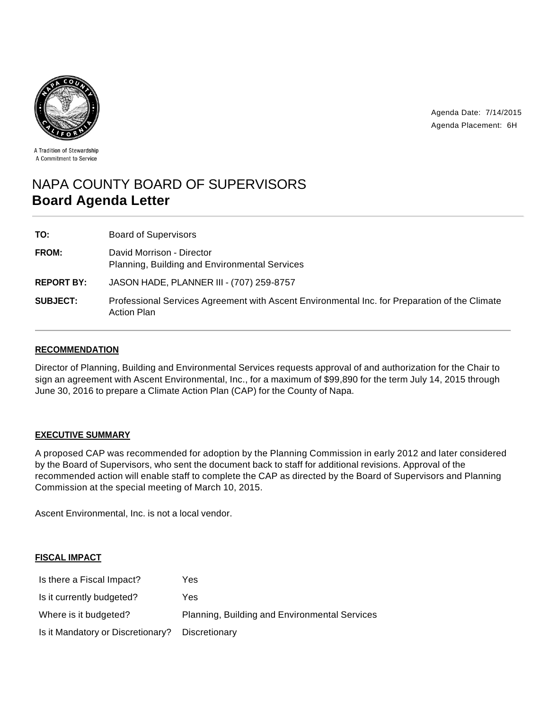



A Tradition of Stewardship A Commitment to Service

# NAPA COUNTY BOARD OF SUPERVISORS **Board Agenda Letter**

| TO:               | <b>Board of Supervisors</b>                                                                                         |
|-------------------|---------------------------------------------------------------------------------------------------------------------|
| <b>FROM:</b>      | David Morrison - Director<br>Planning, Building and Environmental Services                                          |
| <b>REPORT BY:</b> | JASON HADE, PLANNER III - (707) 259-8757                                                                            |
| <b>SUBJECT:</b>   | Professional Services Agreement with Ascent Environmental Inc. for Preparation of the Climate<br><b>Action Plan</b> |

## **RECOMMENDATION**

Director of Planning, Building and Environmental Services requests approval of and authorization for the Chair to sign an agreement with Ascent Environmental, Inc., for a maximum of \$99,890 for the term July 14, 2015 through June 30, 2016 to prepare a Climate Action Plan (CAP) for the County of Napa.

## **EXECUTIVE SUMMARY**

A proposed CAP was recommended for adoption by the Planning Commission in early 2012 and later considered by the Board of Supervisors, who sent the document back to staff for additional revisions. Approval of the recommended action will enable staff to complete the CAP as directed by the Board of Supervisors and Planning Commission at the special meeting of March 10, 2015.

Ascent Environmental, Inc. is not a local vendor.

## **FISCAL IMPACT**

| Is there a Fiscal Impact?         | Yes                                           |
|-----------------------------------|-----------------------------------------------|
| Is it currently budgeted?         | Yes                                           |
| Where is it budgeted?             | Planning, Building and Environmental Services |
| Is it Mandatory or Discretionary? | Discretionary                                 |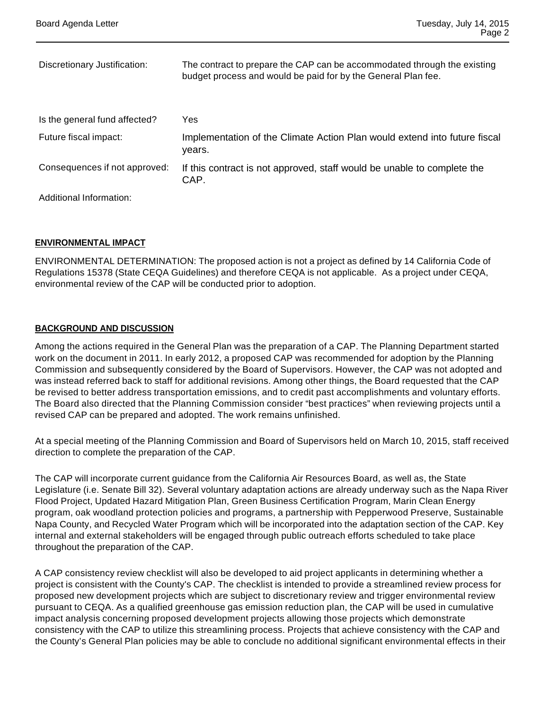| Discretionary Justification:  | The contract to prepare the CAP can be accommodated through the existing<br>budget process and would be paid for by the General Plan fee. |
|-------------------------------|-------------------------------------------------------------------------------------------------------------------------------------------|
| Is the general fund affected? | Yes                                                                                                                                       |
| Future fiscal impact:         | Implementation of the Climate Action Plan would extend into future fiscal<br>vears.                                                       |
| Consequences if not approved: | If this contract is not approved, staff would be unable to complete the<br>CAP.                                                           |
| Additional Information:       |                                                                                                                                           |

#### **ENVIRONMENTAL IMPACT**

ENVIRONMENTAL DETERMINATION: The proposed action is not a project as defined by 14 California Code of Regulations 15378 (State CEQA Guidelines) and therefore CEQA is not applicable. As a project under CEQA, environmental review of the CAP will be conducted prior to adoption.

#### **BACKGROUND AND DISCUSSION**

Among the actions required in the General Plan was the preparation of a CAP. The Planning Department started work on the document in 2011. In early 2012, a proposed CAP was recommended for adoption by the Planning Commission and subsequently considered by the Board of Supervisors. However, the CAP was not adopted and was instead referred back to staff for additional revisions. Among other things, the Board requested that the CAP be revised to better address transportation emissions, and to credit past accomplishments and voluntary efforts. The Board also directed that the Planning Commission consider "best practices" when reviewing projects until a revised CAP can be prepared and adopted. The work remains unfinished.

At a special meeting of the Planning Commission and Board of Supervisors held on March 10, 2015, staff received direction to complete the preparation of the CAP.

The CAP will incorporate current guidance from the California Air Resources Board, as well as, the State Legislature (i.e. Senate Bill 32). Several voluntary adaptation actions are already underway such as the Napa River Flood Project, Updated Hazard Mitigation Plan, Green Business Certification Program, Marin Clean Energy program, oak woodland protection policies and programs, a partnership with Pepperwood Preserve, Sustainable Napa County, and Recycled Water Program which will be incorporated into the adaptation section of the CAP. Key internal and external stakeholders will be engaged through public outreach efforts scheduled to take place throughout the preparation of the CAP.

A CAP consistency review checklist will also be developed to aid project applicants in determining whether a project is consistent with the County's CAP. The checklist is intended to provide a streamlined review process for proposed new development projects which are subject to discretionary review and trigger environmental review pursuant to CEQA. As a qualified greenhouse gas emission reduction plan, the CAP will be used in cumulative impact analysis concerning proposed development projects allowing those projects which demonstrate consistency with the CAP to utilize this streamlining process. Projects that achieve consistency with the CAP and the County's General Plan policies may be able to conclude no additional significant environmental effects in their